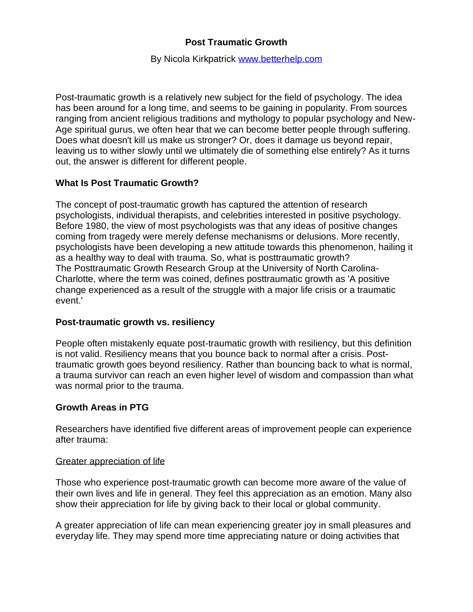# **Post Traumatic Growth**

### By Nicola Kirkpatrick [www.betterhelp.com](http://www.betterhelp.com/)

Post-traumatic growth is a relatively new subject for the field of psychology. The idea has been around for a long time, and seems to be gaining in popularity. From sources ranging from ancient religious traditions and mythology to popular psychology and New-Age spiritual gurus, we often hear that we can become better people through suffering. Does what doesn't kill us make us stronger? Or, does it damage us beyond repair, leaving us to wither slowly until we ultimately die of something else entirely? As it turns out, the answer is different for different people.

## **What Is Post Traumatic Growth?**

The concept of post-traumatic growth has captured the attention of research psychologists, individual therapists, and celebrities interested in positive psychology. Before 1980, the view of most psychologists was that any ideas of positive changes coming from tragedy were merely defense mechanisms or delusions. More recently, psychologists have been developing a new attitude towards this phenomenon, hailing it as a healthy way to deal with trauma. So, what is posttraumatic growth? The [Posttraumatic Growth Research Group](https://ptgi.uncc.edu/what-is-ptg/) at the University of North Carolina-Charlotte, where the term was coined, defines posttraumatic growth as 'A positive change experienced as a result of the struggle with a major life crisis or a traumatic event.'

## **Post-traumatic growth vs. resiliency**

People often mistakenly equate post-traumatic growth with resiliency, but this definition is not valid. Resiliency means that you bounce back to normal after a crisis. Posttraumatic growth goes beyond resiliency. Rather than bouncing back to what is normal, a trauma survivor can reach an even higher level of wisdom and compassion than what was normal prior to the trauma.

## **Growth Areas in PTG**

Researchers have identified five [different areas of improvement](http://www.positivedisintegration.com/ptg.htm#a1) people can experience after trauma:

## Greater appreciation of life

Those who experience post-traumatic growth can become more aware of the value of their own lives and life in general. They feel this appreciation as an emotion. Many also show their appreciation for life by giving back to their local or global community.

A greater appreciation of life can mean experiencing greater joy in small pleasures and everyday life. They may spend more time appreciating nature or doing activities that